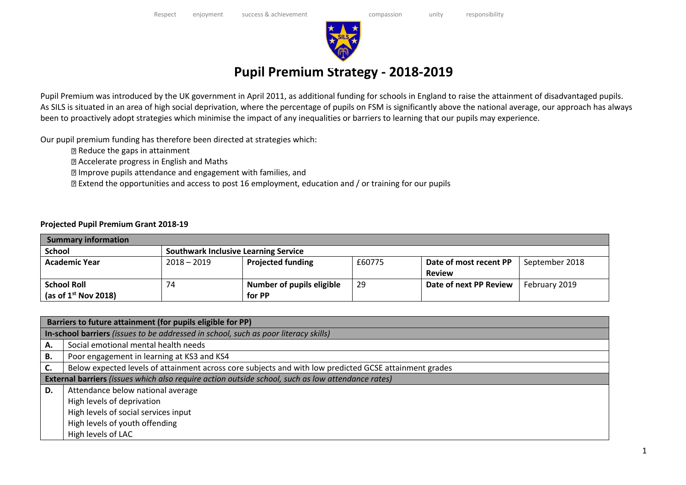

## **Pupil Premium Strategy - 2018-2019**

Pupil Premium was introduced by the UK government in April 2011, as additional funding for schools in England to raise the attainment of disadvantaged pupils. As SILS is situated in an area of high social deprivation, where the percentage of pupils on FSM is significantly above the national average, our approach has always been to proactively adopt strategies which minimise the impact of any inequalities or barriers to learning that our pupils may experience.

Our pupil premium funding has therefore been directed at strategies which:

- Reduce the gaps in attainment
- Accelerate progress in English and Maths
- Improve pupils attendance and engagement with families, and
- Extend the opportunities and access to post 16 employment, education and / or training for our pupils

## **Projected Pupil Premium Grant 2018-19**

| <b>Summary information</b> |                                             |                           |        |                        |                |  |  |
|----------------------------|---------------------------------------------|---------------------------|--------|------------------------|----------------|--|--|
| <b>School</b>              | <b>Southwark Inclusive Learning Service</b> |                           |        |                        |                |  |  |
| <b>Academic Year</b>       | $2018 - 2019$                               | <b>Projected funding</b>  | £60775 | Date of most recent PP | September 2018 |  |  |
|                            |                                             |                           |        | <b>Review</b>          |                |  |  |
| <b>School Roll</b>         | 74                                          | Number of pupils eligible | 29     | Date of next PP Review | February 2019  |  |  |
| (as of $1st$ Nov 2018)     |                                             | for PP                    |        |                        |                |  |  |

|    | Barriers to future attainment (for pupils eligible for PP)                                             |  |  |  |  |  |  |
|----|--------------------------------------------------------------------------------------------------------|--|--|--|--|--|--|
|    | In-school barriers (issues to be addressed in school, such as poor literacy skills)                    |  |  |  |  |  |  |
| Α. | Social emotional mental health needs                                                                   |  |  |  |  |  |  |
| В. | Poor engagement in learning at KS3 and KS4                                                             |  |  |  |  |  |  |
| C. | Below expected levels of attainment across core subjects and with low predicted GCSE attainment grades |  |  |  |  |  |  |
|    | External barriers (issues which also require action outside school, such as low attendance rates)      |  |  |  |  |  |  |
| D. | Attendance below national average                                                                      |  |  |  |  |  |  |
|    | High levels of deprivation                                                                             |  |  |  |  |  |  |
|    | High levels of social services input                                                                   |  |  |  |  |  |  |
|    | High levels of youth offending                                                                         |  |  |  |  |  |  |
|    | High levels of LAC                                                                                     |  |  |  |  |  |  |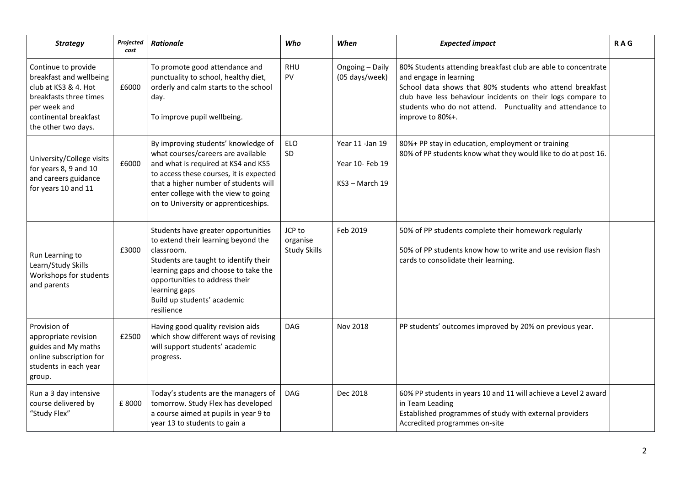| <b>Strategy</b>                                                                                                                                                  | Projected<br>cost | <b>Rationale</b>                                                                                                                                                                                                                                                                     | Who                                       | When                                                  | <b>Expected impact</b>                                                                                                                                                                                                                                                                              | <b>RAG</b> |
|------------------------------------------------------------------------------------------------------------------------------------------------------------------|-------------------|--------------------------------------------------------------------------------------------------------------------------------------------------------------------------------------------------------------------------------------------------------------------------------------|-------------------------------------------|-------------------------------------------------------|-----------------------------------------------------------------------------------------------------------------------------------------------------------------------------------------------------------------------------------------------------------------------------------------------------|------------|
| Continue to provide<br>breakfast and wellbeing<br>club at KS3 & 4. Hot<br>breakfasts three times<br>per week and<br>continental breakfast<br>the other two days. | £6000             | To promote good attendance and<br>punctuality to school, healthy diet,<br>orderly and calm starts to the school<br>day.<br>To improve pupil wellbeing.                                                                                                                               | <b>RHU</b><br>PV                          | Ongoing - Daily<br>(05 days/week)                     | 80% Students attending breakfast club are able to concentrate<br>and engage in learning<br>School data shows that 80% students who attend breakfast<br>club have less behaviour incidents on their logs compare to<br>students who do not attend. Punctuality and attendance to<br>improve to 80%+. |            |
| University/College visits<br>for years 8, 9 and 10<br>and careers guidance<br>for years 10 and 11                                                                | £6000             | By improving students' knowledge of<br>what courses/careers are available<br>and what is required at KS4 and KS5<br>to access these courses, it is expected<br>that a higher number of students will<br>enter college with the view to going<br>on to University or apprenticeships. | <b>ELO</b><br>SD                          | Year 11 - Jan 19<br>Year 10- Feb 19<br>KS3 - March 19 | 80%+ PP stay in education, employment or training<br>80% of PP students know what they would like to do at post 16.                                                                                                                                                                                 |            |
| Run Learning to<br>Learn/Study Skills<br>Workshops for students<br>and parents                                                                                   | £3000             | Students have greater opportunities<br>to extend their learning beyond the<br>classroom.<br>Students are taught to identify their<br>learning gaps and choose to take the<br>opportunities to address their<br>learning gaps<br>Build up students' academic<br>resilience            | JCP to<br>organise<br><b>Study Skills</b> | Feb 2019                                              | 50% of PP students complete their homework regularly<br>50% of PP students know how to write and use revision flash<br>cards to consolidate their learning.                                                                                                                                         |            |
| Provision of<br>appropriate revision<br>guides and My maths<br>online subscription for<br>students in each year<br>group.                                        | £2500             | Having good quality revision aids<br>which show different ways of revising<br>will support students' academic<br>progress.                                                                                                                                                           | <b>DAG</b>                                | Nov 2018                                              | PP students' outcomes improved by 20% on previous year.                                                                                                                                                                                                                                             |            |
| Run a 3 day intensive<br>course delivered by<br>"Study Flex"                                                                                                     | £8000             | Today's students are the managers of<br>tomorrow. Study Flex has developed<br>a course aimed at pupils in year 9 to<br>year 13 to students to gain a                                                                                                                                 | <b>DAG</b>                                | Dec 2018                                              | 60% PP students in years 10 and 11 will achieve a Level 2 award<br>in Team Leading<br>Established programmes of study with external providers<br>Accredited programmes on-site                                                                                                                      |            |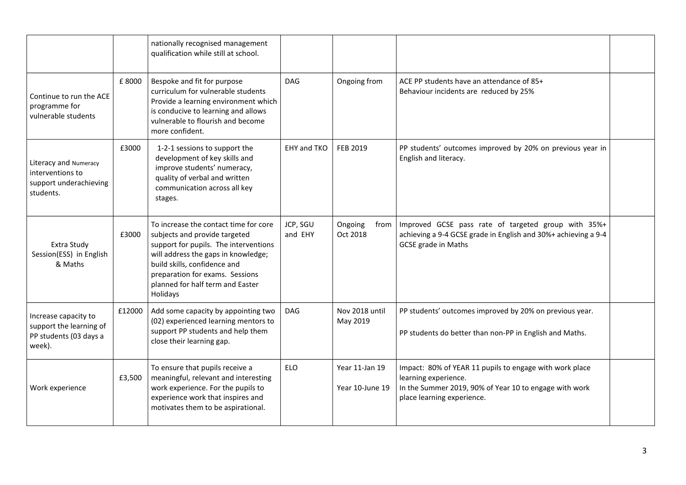|                                                                                     |        | nationally recognised management<br>qualification while still at school.                                                                                                                                                                                                  |                     |                                   |                                                                                                                                                                         |  |
|-------------------------------------------------------------------------------------|--------|---------------------------------------------------------------------------------------------------------------------------------------------------------------------------------------------------------------------------------------------------------------------------|---------------------|-----------------------------------|-------------------------------------------------------------------------------------------------------------------------------------------------------------------------|--|
| Continue to run the ACE<br>programme for<br>vulnerable students                     | £8000  | Bespoke and fit for purpose<br>curriculum for vulnerable students<br>Provide a learning environment which<br>is conducive to learning and allows<br>vulnerable to flourish and become<br>more confident.                                                                  | <b>DAG</b>          | Ongoing from                      | ACE PP students have an attendance of 85+<br>Behaviour incidents are reduced by 25%                                                                                     |  |
| Literacy and Numeracy<br>interventions to<br>support underachieving<br>students.    | £3000  | 1-2-1 sessions to support the<br>development of key skills and<br>improve students' numeracy,<br>quality of verbal and written<br>communication across all key<br>stages.                                                                                                 | EHY and TKO         | <b>FEB 2019</b>                   | PP students' outcomes improved by 20% on previous year in<br>English and literacy.                                                                                      |  |
| Extra Study<br>Session(ESS) in English<br>& Maths                                   | £3000  | To increase the contact time for core<br>subjects and provide targeted<br>support for pupils. The interventions<br>will address the gaps in knowledge;<br>build skills, confidence and<br>preparation for exams. Sessions<br>planned for half term and Easter<br>Holidays | JCP, SGU<br>and EHY | Ongoing<br>from<br>Oct 2018       | Improved GCSE pass rate of targeted group with 35%+<br>achieving a 9-4 GCSE grade in English and 30%+ achieving a 9-4<br><b>GCSE grade in Maths</b>                     |  |
| Increase capacity to<br>support the learning of<br>PP students (03 days a<br>week). | £12000 | Add some capacity by appointing two<br>(02) experienced learning mentors to<br>support PP students and help them<br>close their learning gap.                                                                                                                             | <b>DAG</b>          | Nov 2018 until<br>May 2019        | PP students' outcomes improved by 20% on previous year.<br>PP students do better than non-PP in English and Maths.                                                      |  |
| Work experience                                                                     | £3,500 | To ensure that pupils receive a<br>meaningful, relevant and interesting<br>work experience. For the pupils to<br>experience work that inspires and<br>motivates them to be aspirational.                                                                                  | <b>ELO</b>          | Year 11-Jan 19<br>Year 10-June 19 | Impact: 80% of YEAR 11 pupils to engage with work place<br>learning experience.<br>In the Summer 2019, 90% of Year 10 to engage with work<br>place learning experience. |  |